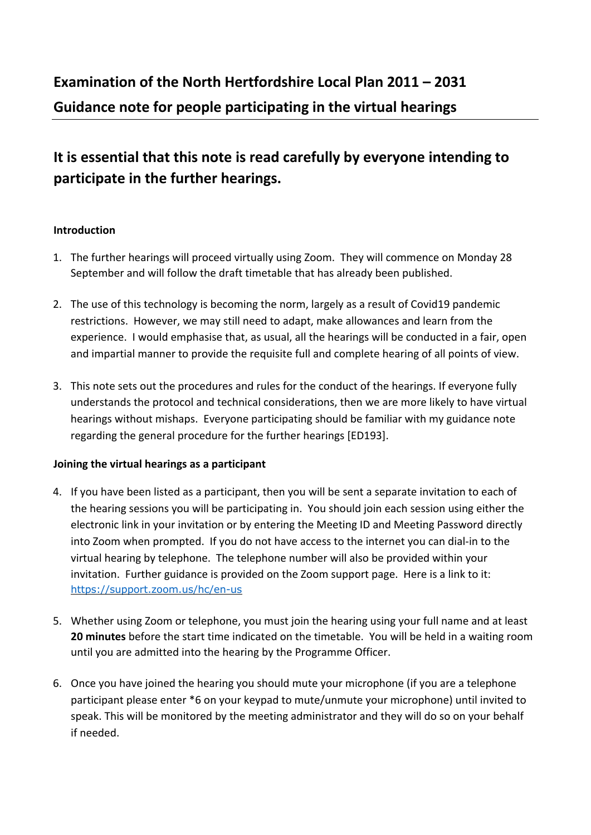# **It is essential that this note is read carefully by everyone intending to participate in the further hearings.**

## **Introduction**

- 1. The further hearings will proceed virtually using Zoom. They will commence on Monday 28 September and will follow the draft timetable that has already been published.
- 2. The use of this technology is becoming the norm, largely as a result of Covid19 pandemic restrictions. However, we may still need to adapt, make allowances and learn from the experience. I would emphasise that, as usual, all the hearings will be conducted in a fair, open and impartial manner to provide the requisite full and complete hearing of all points of view.
- 3. This note sets out the procedures and rules for the conduct of the hearings. If everyone fully understands the protocol and technical considerations, then we are more likely to have virtual hearings without mishaps. Everyone participating should be familiar with my guidance note regarding the general procedure for the further hearings [ED193].

## **Joining the virtual hearings as a participant**

- 4. If you have been listed as a participant, then you will be sent a separate invitation to each of the hearing sessions you will be participating in. You should join each session using either the electronic link in your invitation or by entering the Meeting ID and Meeting Password directly into Zoom when prompted. If you do not have access to the internet you can dial-in to the virtual hearing by telephone. The telephone number will also be provided within your invitation. Further guidance is provided on the Zoom support page. Here is a link to it: https://support.zoom.us/hc/en-us
- 5. Whether using Zoom or telephone, you must join the hearing using your full name and at least **20 minutes** before the start time indicated on the timetable. You will be held in a waiting room until you are admitted into the hearing by the Programme Officer.
- 6. Once you have joined the hearing you should mute your microphone (if you are a telephone participant please enter \*6 on your keypad to mute/unmute your microphone) until invited to speak. This will be monitored by the meeting administrator and they will do so on your behalf if needed.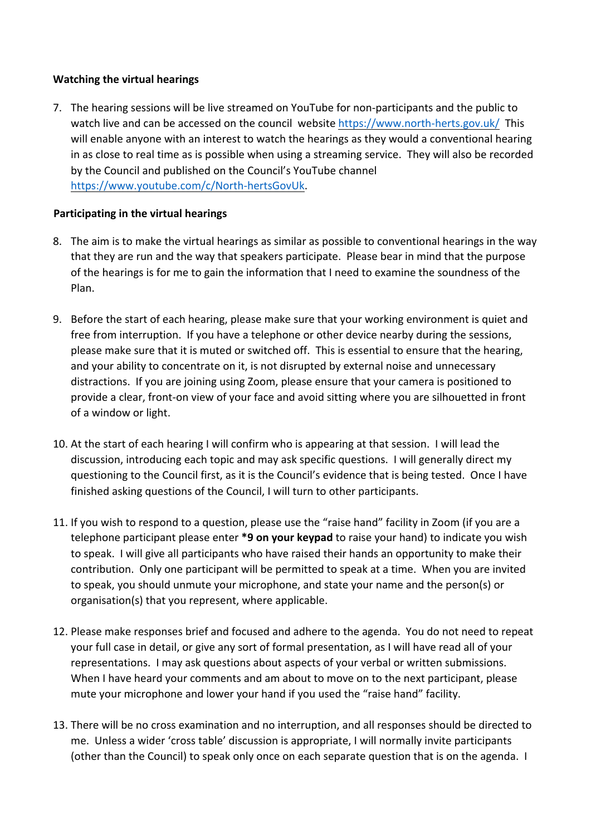## **Watching the virtual hearings**

7. The hearing sessions will be live streamed on YouTube for non-participants and the public to watch live and can be accessed on the council website https://www.north-herts.gov.uk/ This will enable anyone with an interest to watch the hearings as they would a conventional hearing in as close to real time as is possible when using a streaming service. They will also be recorded by the Council and published on the Council's YouTube channel https://www.youtube.com/c/North-hertsGovUk.

## **Participating in the virtual hearings**

- 8. The aim is to make the virtual hearings as similar as possible to conventional hearings in the way that they are run and the way that speakers participate. Please bear in mind that the purpose of the hearings is for me to gain the information that I need to examine the soundness of the Plan.
- 9. Before the start of each hearing, please make sure that your working environment is quiet and free from interruption. If you have a telephone or other device nearby during the sessions, please make sure that it is muted or switched off. This is essential to ensure that the hearing, and your ability to concentrate on it, is not disrupted by external noise and unnecessary distractions. If you are joining using Zoom, please ensure that your camera is positioned to provide a clear, front-on view of your face and avoid sitting where you are silhouetted in front of a window or light.
- 10. At the start of each hearing I will confirm who is appearing at that session. I will lead the discussion, introducing each topic and may ask specific questions. I will generally direct my questioning to the Council first, as it is the Council's evidence that is being tested. Once I have finished asking questions of the Council, I will turn to other participants.
- 11. If you wish to respond to a question, please use the "raise hand" facility in Zoom (if you are a telephone participant please enter **\*9 on your keypad** to raise your hand) to indicate you wish to speak. I will give all participants who have raised their hands an opportunity to make their contribution. Only one participant will be permitted to speak at a time. When you are invited to speak, you should unmute your microphone, and state your name and the person(s) or organisation(s) that you represent, where applicable.
- 12. Please make responses brief and focused and adhere to the agenda. You do not need to repeat your full case in detail, or give any sort of formal presentation, as I will have read all of your representations. I may ask questions about aspects of your verbal or written submissions. When I have heard your comments and am about to move on to the next participant, please mute your microphone and lower your hand if you used the "raise hand" facility.
- 13. There will be no cross examination and no interruption, and all responses should be directed to me. Unless a wider 'cross table' discussion is appropriate, I will normally invite participants (other than the Council) to speak only once on each separate question that is on the agenda. I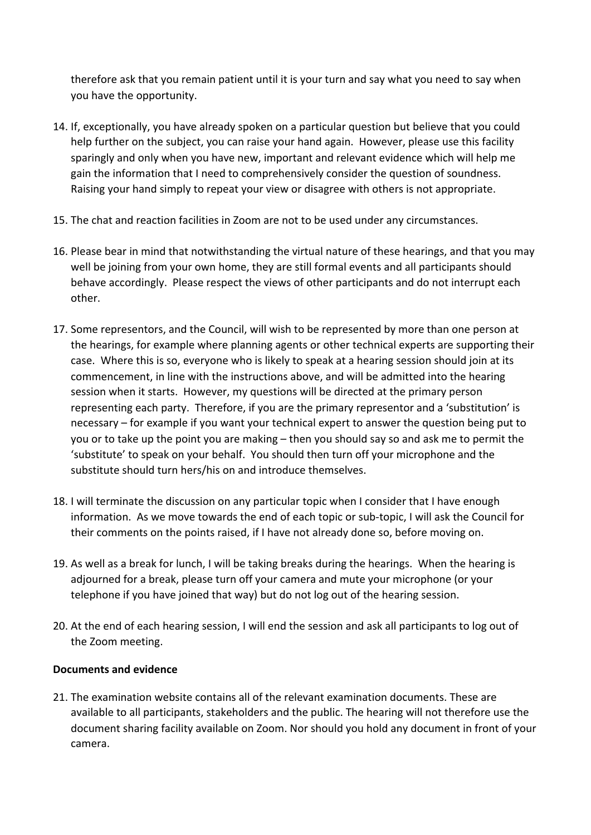therefore ask that you remain patient until it is your turn and say what you need to say when you have the opportunity.

- 14. If, exceptionally, you have already spoken on a particular question but believe that you could help further on the subject, you can raise your hand again. However, please use this facility sparingly and only when you have new, important and relevant evidence which will help me gain the information that I need to comprehensively consider the question of soundness. Raising your hand simply to repeat your view or disagree with others is not appropriate.
- 15. The chat and reaction facilities in Zoom are not to be used under any circumstances.
- 16. Please bear in mind that notwithstanding the virtual nature of these hearings, and that you may well be joining from your own home, they are still formal events and all participants should behave accordingly. Please respect the views of other participants and do not interrupt each other.
- 17. Some representors, and the Council, will wish to be represented by more than one person at the hearings, for example where planning agents or other technical experts are supporting their case. Where this is so, everyone who is likely to speak at a hearing session should join at its commencement, in line with the instructions above, and will be admitted into the hearing session when it starts. However, my questions will be directed at the primary person representing each party. Therefore, if you are the primary representor and a 'substitution' is necessary – for example if you want your technical expert to answer the question being put to you or to take up the point you are making – then you should say so and ask me to permit the 'substitute' to speak on your behalf. You should then turn off your microphone and the substitute should turn hers/his on and introduce themselves.
- 18. I will terminate the discussion on any particular topic when I consider that I have enough information. As we move towards the end of each topic or sub-topic, I will ask the Council for their comments on the points raised, if I have not already done so, before moving on.
- 19. As well as a break for lunch, I will be taking breaks during the hearings. When the hearing is adjourned for a break, please turn off your camera and mute your microphone (or your telephone if you have joined that way) but do not log out of the hearing session.
- 20. At the end of each hearing session, I will end the session and ask all participants to log out of the Zoom meeting.

## **Documents and evidence**

21. The examination website contains all of the relevant examination documents. These are available to all participants, stakeholders and the public. The hearing will not therefore use the document sharing facility available on Zoom. Nor should you hold any document in front of your camera.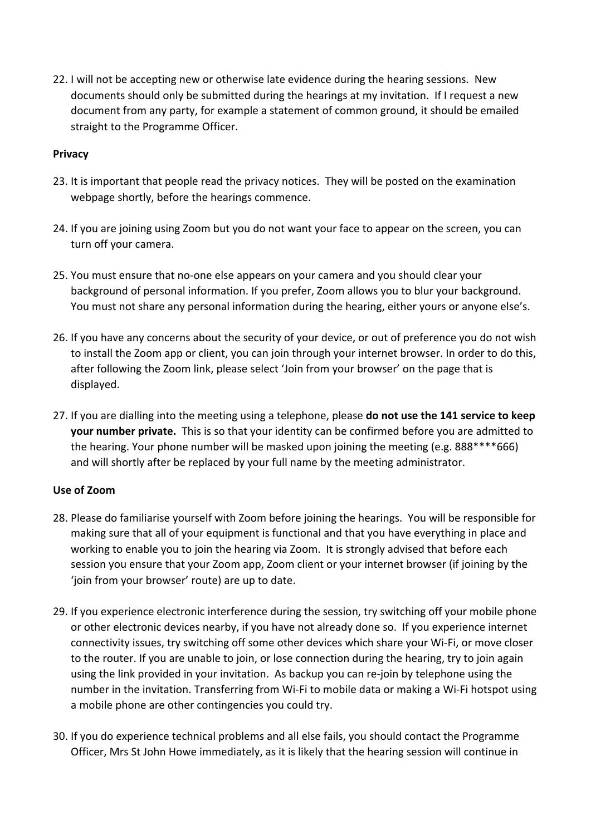22. I will not be accepting new or otherwise late evidence during the hearing sessions. New documents should only be submitted during the hearings at my invitation. If I request a new document from any party, for example a statement of common ground, it should be emailed straight to the Programme Officer.

## **Privacy**

- 23. It is important that people read the privacy notices. They will be posted on the examination webpage shortly, before the hearings commence.
- 24. If you are joining using Zoom but you do not want your face to appear on the screen, you can turn off your camera.
- 25. You must ensure that no-one else appears on your camera and you should clear your background of personal information. If you prefer, Zoom allows you to blur your background. You must not share any personal information during the hearing, either yours or anyone else's.
- 26. If you have any concerns about the security of your device, or out of preference you do not wish to install the Zoom app or client, you can join through your internet browser. In order to do this, after following the Zoom link, please select 'Join from your browser' on the page that is displayed.
- 27. If you are dialling into the meeting using a telephone, please **do not use the 141 service to keep your number private.** This is so that your identity can be confirmed before you are admitted to the hearing. Your phone number will be masked upon joining the meeting (e.g. 888\*\*\*\*666) and will shortly after be replaced by your full name by the meeting administrator.

## **Use of Zoom**

- 28. Please do familiarise yourself with Zoom before joining the hearings. You will be responsible for making sure that all of your equipment is functional and that you have everything in place and working to enable you to join the hearing via Zoom. It is strongly advised that before each session you ensure that your Zoom app, Zoom client or your internet browser (if joining by the 'join from your browser' route) are up to date.
- 29. If you experience electronic interference during the session, try switching off your mobile phone or other electronic devices nearby, if you have not already done so. If you experience internet connectivity issues, try switching off some other devices which share your Wi-Fi, or move closer to the router. If you are unable to join, or lose connection during the hearing, try to join again using the link provided in your invitation. As backup you can re-join by telephone using the number in the invitation. Transferring from Wi-Fi to mobile data or making a Wi-Fi hotspot using a mobile phone are other contingencies you could try.
- 30. If you do experience technical problems and all else fails, you should contact the Programme Officer, Mrs St John Howe immediately, as it is likely that the hearing session will continue in